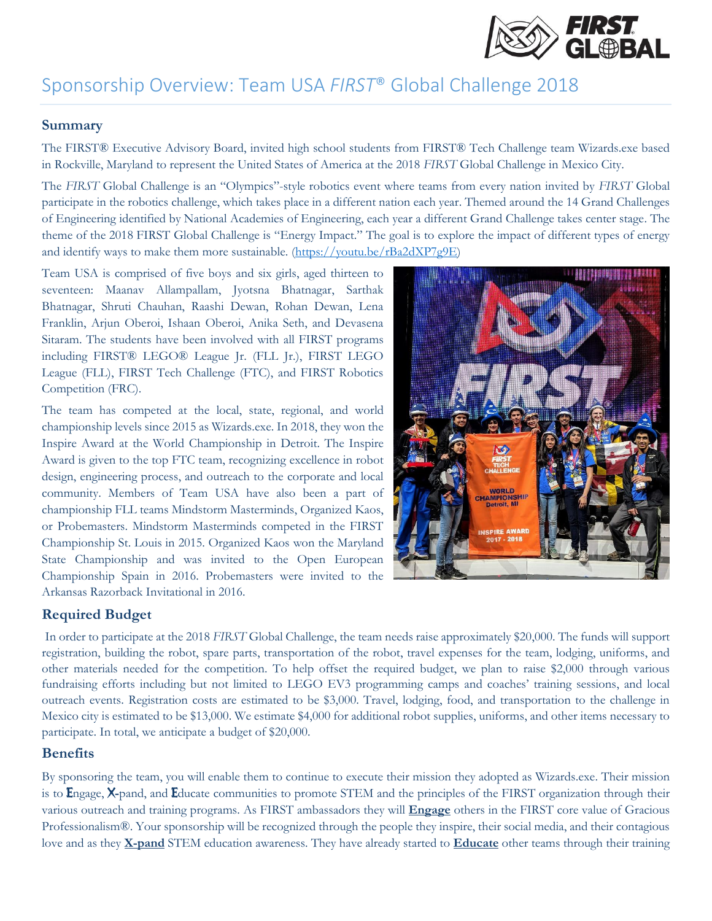

### Sponsorship Overview: Team USA *FIRST*® Global Challenge 2018

#### **Summary**

The FIRST® Executive Advisory Board, invited high school students from FIRST® Tech Challenge team Wizards.exe based in Rockville, Maryland to represent the United States of America at the 2018 *FIRST* Global Challenge in Mexico City.

The *FIRST* Global Challenge is an "Olympics"-style robotics event where teams from every nation invited by *FIRST* Global participate in the robotics challenge, which takes place in a different nation each year. Themed around the 14 Grand Challenges of Engineering identified by National Academies of Engineering, each year a different Grand Challenge takes center stage. The theme of the 2018 FIRST Global Challenge is "Energy Impact." The goal is to explore the impact of different types of energy and identify ways to make them more sustainable. [\(https://youtu.be/rBa2dXP7g9E\)](https://youtu.be/rBa2dXP7g9E)

Team USA is comprised of five boys and six girls, aged thirteen to seventeen: Maanav Allampallam, Jyotsna Bhatnagar, Sarthak Bhatnagar, Shruti Chauhan, Raashi Dewan, Rohan Dewan, Lena Franklin, Arjun Oberoi, Ishaan Oberoi, Anika Seth, and Devasena Sitaram. The students have been involved with all FIRST programs including FIRST® LEGO® League Jr. (FLL Jr.), FIRST LEGO League (FLL), FIRST Tech Challenge (FTC), and FIRST Robotics Competition (FRC).

The team has competed at the local, state, regional, and world championship levels since 2015 as Wizards.exe. In 2018, they won the Inspire Award at the World Championship in Detroit. The Inspire Award is given to the top FTC team, recognizing excellence in robot design, engineering process, and outreach to the corporate and local community. Members of Team USA have also been a part of championship FLL teams Mindstorm Masterminds, Organized Kaos, or Probemasters. Mindstorm Masterminds competed in the FIRST Championship St. Louis in 2015. Organized Kaos won the Maryland State Championship and was invited to the Open European Championship Spain in 2016. Probemasters were invited to the Arkansas Razorback Invitational in 2016.



### **Required Budget**

In order to participate at the 2018 *FIRST* Global Challenge, the team needs raise approximately \$20,000. The funds will support registration, building the robot, spare parts, transportation of the robot, travel expenses for the team, lodging, uniforms, and other materials needed for the competition. To help offset the required budget, we plan to raise \$2,000 through various fundraising efforts including but not limited to LEGO EV3 programming camps and coaches' training sessions, and local outreach events. Registration costs are estimated to be \$3,000. Travel, lodging, food, and transportation to the challenge in Mexico city is estimated to be \$13,000. We estimate \$4,000 for additional robot supplies, uniforms, and other items necessary to participate. In total, we anticipate a budget of \$20,000.

#### **Benefits**

By sponsoring the team, you will enable them to continue to execute their mission they adopted as Wizards.exe. Their mission is to Engage, X-pand, and Educate communities to promote STEM and the principles of the FIRST organization through their various outreach and training programs. As FIRST ambassadors they will **Engage** others in the FIRST core value of Gracious Professionalism®. Your sponsorship will be recognized through the people they inspire, their social media, and their contagious love and as they **X-pand** STEM education awareness. They have already started to **Educate** other teams through their training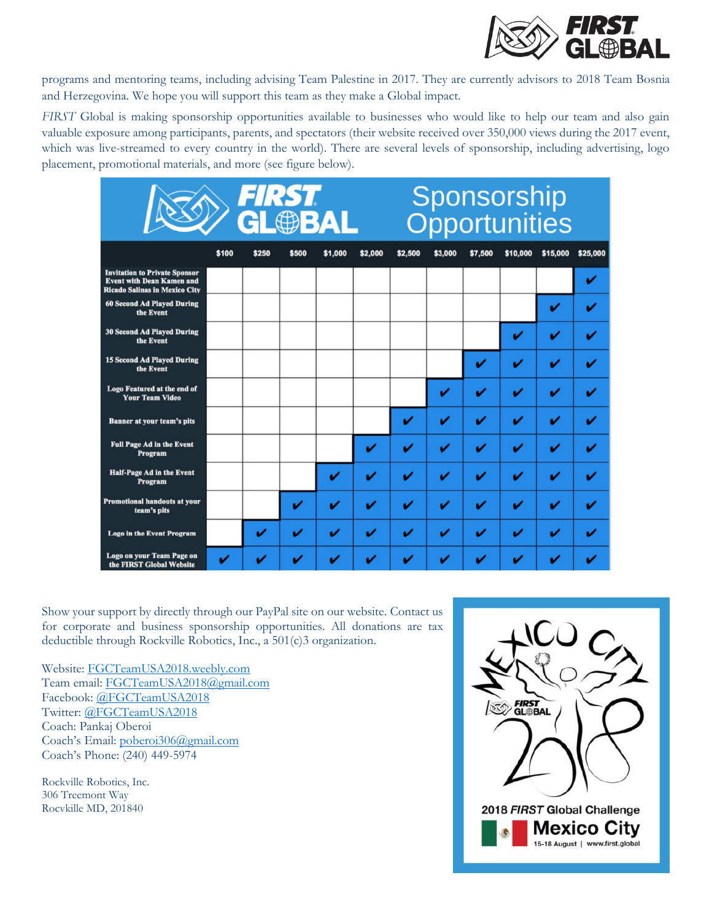

programs and mentoring teams, including advising Team Palestine in 2017. They are currently advisors to 2018 Team Bosnia and Herzegovina. We hope you will support this team as they make a Global impact.

*FIRST* Global is making sponsorship opportunities available to businesses who would like to help our team and also gain valuable exposure among participants, parents, and spectators (their website received over 350,000 views during the 2017 event, which was live-streamed to every country in the world). There are several levels of sponsorship, including advertising, logo placement, promotional materials, and more (see figure below).

|                                                                                                                  | <b>FIRST</b><br><b>GL®BAL</b> |       |       |         |                         | Sponsorship<br>Opportunities |         |         |                         |          |          |
|------------------------------------------------------------------------------------------------------------------|-------------------------------|-------|-------|---------|-------------------------|------------------------------|---------|---------|-------------------------|----------|----------|
|                                                                                                                  | \$100                         | \$250 | \$500 | \$1,000 | \$2,000                 | \$2,500                      | \$3,000 | \$7,500 | \$10,000                | \$15,000 | \$25,000 |
| <b>Invitation to Private Sponsor</b><br><b>Event with Dean Kamen and</b><br><b>Ricado Salinas in Mexico City</b> |                               |       |       |         |                         |                              |         |         |                         |          | ✓        |
| <b>60 Second Ad Played During</b><br>the Event                                                                   |                               |       |       |         |                         |                              |         |         |                         |          |          |
| <b>30 Second Ad Played During</b><br>the Event                                                                   |                               |       |       |         |                         |                              |         |         | v                       |          |          |
| <b>15 Second Ad Played During</b><br>the Event                                                                   |                               |       |       |         |                         |                              |         | v       | ✓                       |          |          |
| Logo Featured at the end of<br><b>Your Team Video</b>                                                            |                               |       |       |         |                         |                              | v       | v       | v                       |          |          |
| <b>Banner at your team's pits</b>                                                                                |                               |       |       |         |                         | v                            | v       | v       | ✓                       |          |          |
| <b>Full Page Ad in the Event</b><br>Program                                                                      |                               |       |       |         | V                       |                              | v       | v       | $\overline{\mathbf{r}}$ |          |          |
| <b>Half-Page Ad in the Event</b><br>Program                                                                      |                               |       |       | v       |                         | ✔                            | v       | v       | v                       | ັ        |          |
| <b>Promotional handouts at your</b><br>team's pits                                                               |                               |       | v     | ✓       |                         | v                            | ✓       | ✓       | v                       | v        |          |
| <b>Logo in the Event Program</b>                                                                                 |                               | v     |       | ✓       | $\overline{\mathbf{v}}$ |                              | ✓       | v       | v                       |          |          |
| Logo on your Team Page on<br>the FIRST Global Website                                                            | v                             |       |       |         |                         |                              |         |         |                         |          |          |

Show your support by directly through our PayPal site on our website. Contact us for corporate and business sponsorship opportunities. All donations are tax deductible through Rockville Robotics, Inc., a 501(c)3 organization.

Website: [FGCTeamUSA2018.weebly.com](http://fgcteamusa2018.weebly.com/) Team email: [FGCTeamUSA2018@gmail.com](mailto:FGCTeamUSA2018@gmail.com) Facebook: [@FGCTeamUSA2018](https://www.facebook.com/FGCTeamUSA2018) Twitter: [@FGCTeamUSA2018](https://twitter.com/FGCTeamUSA2018) Coach: Pankaj Oberoi Coach's Email: [poberoi306@gmail.com](mailto:poberoi306@gmail.com) Coach's Phone: (240) 449-5974

Rockville Robotics, Inc. 306 Treemont Way Rocvkille MD, 201840

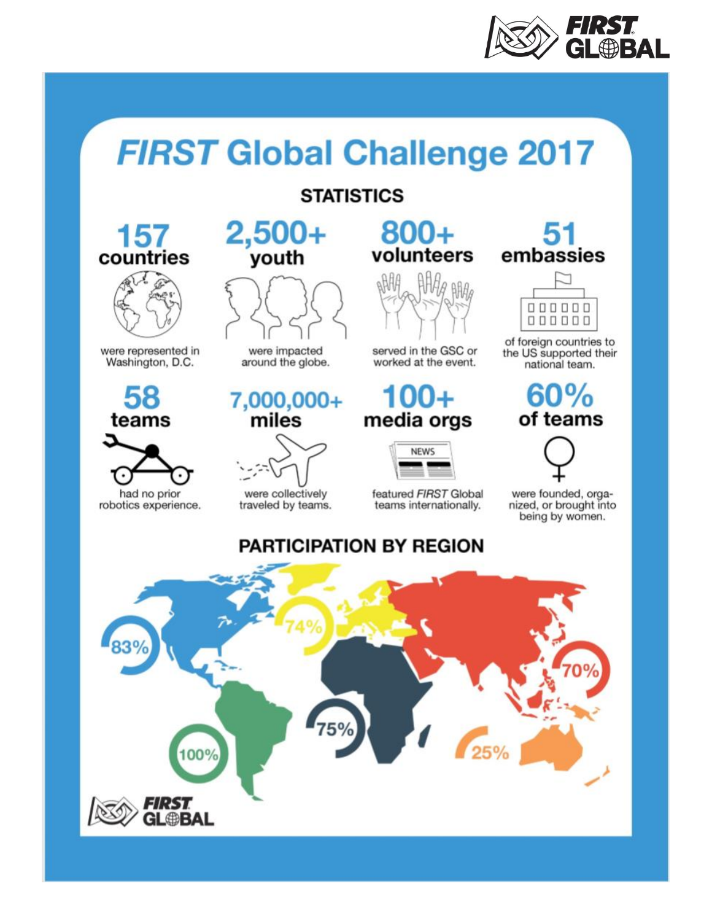

## **FIRST Global Challenge 2017**

### **STATISTICS**

### 157 countries



were represented in Washington, D.C.

## 58 teams

had no prior robotics experience.



were impacted around the globe.

# 7,000,000+<br>miles



traveled by teams.

# $800+$ <br>volunteers



served in the GSC or worked at the event.

# media orgs



featured FIRST Global teams internationally.

# embassies



of foreign countries to the US supported their national team.

## 60% of teams



were founded, organized, or brought into being by women.

### **PARTICIPATION BY REGION**